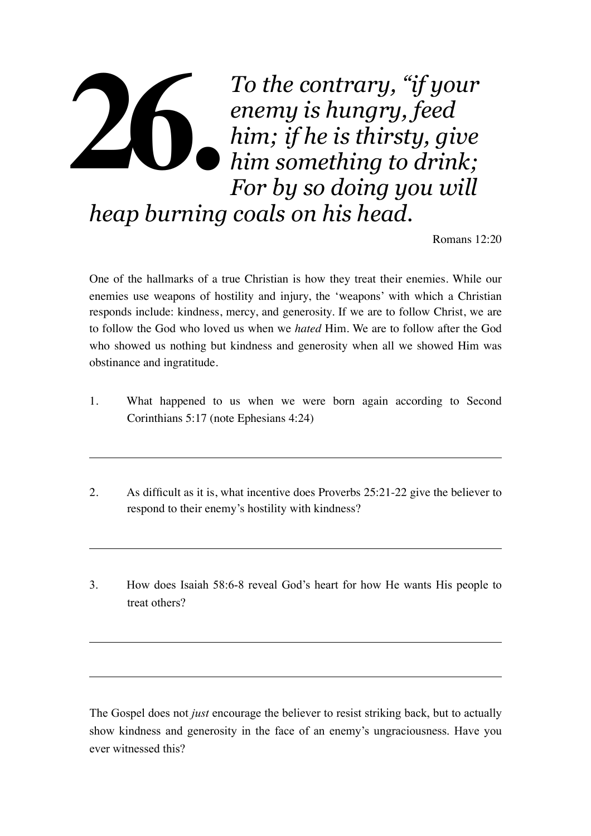## *To the contrary, "if your enemy is hungry, feed him; if he is thirsty, give him something to drink; For by so doing you will heap burning coals on his head.*  **26.**

Romans 12:20

One of the hallmarks of a true Christian is how they treat their enemies. While our enemies use weapons of hostility and injury, the 'weapons' with which a Christian responds include: kindness, mercy, and generosity. If we are to follow Christ, we are to follow the God who loved us when we *hated* Him. We are to follow after the God who showed us nothing but kindness and generosity when all we showed Him was obstinance and ingratitude.

- 1. What happened to us when we were born again according to Second Corinthians 5:17 (note Ephesians 4:24)
- 2. As difficult as it is, what incentive does Proverbs 25:21-22 give the believer to respond to their enemy's hostility with kindness?
- 3. How does Isaiah 58:6-8 reveal God's heart for how He wants His people to treat others?

The Gospel does not *just* encourage the believer to resist striking back, but to actually show kindness and generosity in the face of an enemy's ungraciousness. Have you ever witnessed this?